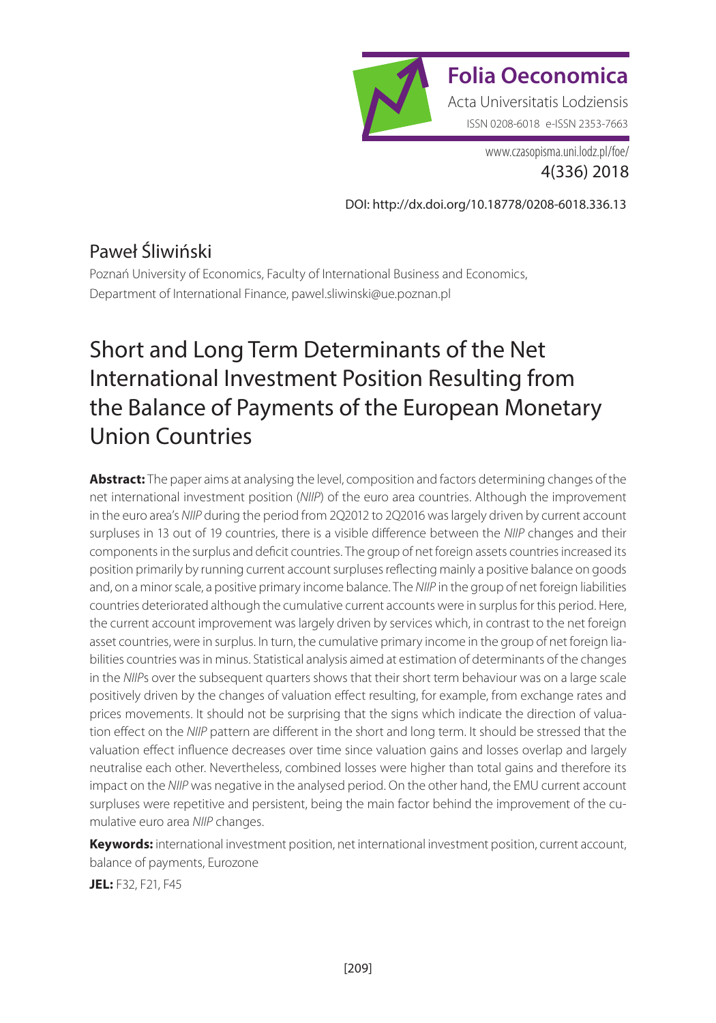

[www.czasopisma.uni.lodz.pl/foe/](http://www.czasopisma.uni.lodz.pl/foe/) 4(336) 2018

[DOI: http://dx.doi.org/10.18778/0208-6018.336.13](http://dx.doi.org/10.18778/0208-6018.336.13)

#### Paweł Śliwiński

Poznań University of Economics, Faculty of International Business and Economics, Department of International Finance, [pawel.sliwinski@ue.poznan.pl](mailto:pawel.sliwinski@ue.poznan.pl)

# Short and Long Term Determinants of the Net International Investment Position Resulting from the Balance of Payments of the European Monetary Union Countries

**Abstract:** The paper aims at analysing the level, composition and factors determining changes of the net international investment position (*NIIP*) of the euro area countries. Although the improvement in the euro area's *NIIP* during the period from 2Q2012 to 2Q2016 was largely driven by current account surpluses in 13 out of 19 countries, there is a visible difference between the *NIIP* changes and their components in the surplus and deficit countries. The group of net foreign assets countries increased its position primarily by running current account surpluses reflecting mainly a positive balance on goods and, on a minor scale, a positive primary income balance. The *NIIP* in the group of net foreign liabilities countries deteriorated although the cumulative current accounts were in surplus for this period. Here, the current account improvement was largely driven by services which, in contrast to the net foreign asset countries, were in surplus. In turn, the cumulative primary income in the group of net foreign liabilities countries was in minus. Statistical analysis aimed at estimation of determinants of the changes in the *NIIP*s over the subsequent quarters shows that their short term behaviour was on a large scale positively driven by the changes of valuation effect resulting, for example, from exchange rates and prices movements. It should not be surprising that the signs which indicate the direction of valuation effect on the *NIIP* pattern are different in the short and long term. It should be stressed that the valuation effect influence decreases over time since valuation gains and losses overlap and largely neutralise each other. Nevertheless, combined losses were higher than total gains and therefore its impact on the *NIIP* was negative in the analysed period. On the other hand, the EMU current account surpluses were repetitive and persistent, being the main factor behind the improvement of the cumulative euro area *NIIP* changes.

**Keywords:** international investment position, net international investment position, current account, balance of payments, Eurozone

**JEL:** F32, F21, F45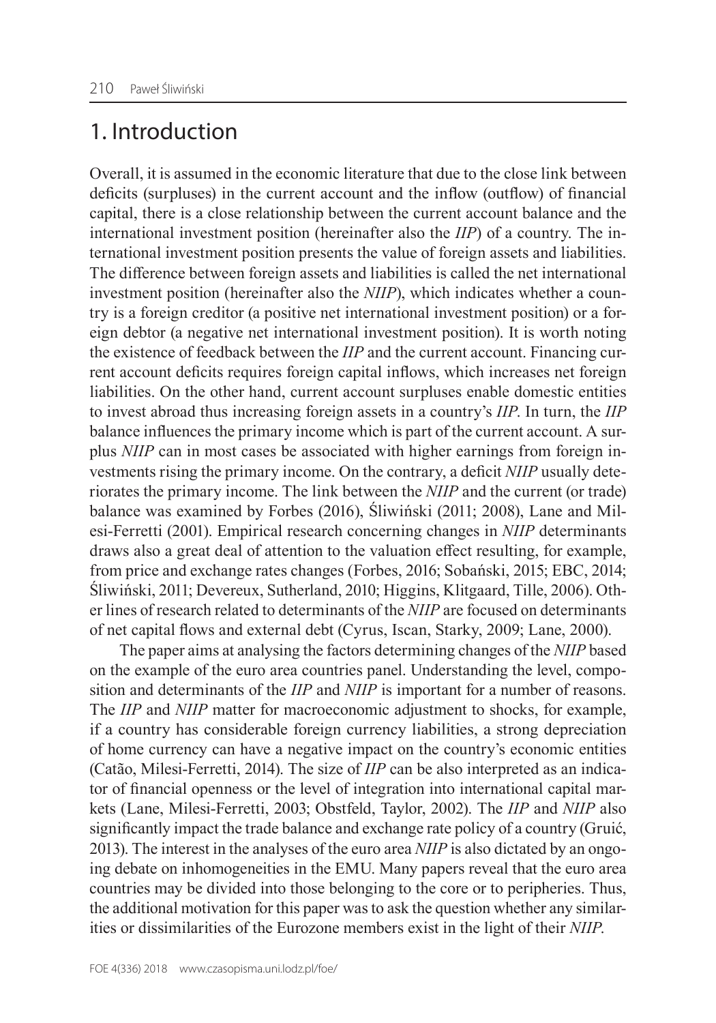### 1. Introduction

Overall, it is assumed in the economic literature that due to the close link between deficits (surpluses) in the current account and the inflow (outflow) of financial capital, there is a close relationship between the current account balance and the international investment position (hereinafter also the *IIP*) of a country. The international investment position presents the value of foreign assets and liabilities. The difference between foreign assets and liabilities is called the net international investment position (hereinafter also the *NIIP*), which indicates whether a country is a foreign creditor (a positive net international investment position) or a foreign debtor (a negative net international investment position). It is worth noting the existence of feedback between the *IIP* and the current account. Financing current account deficits requires foreign capital inflows, which increases net foreign liabilities. On the other hand, current account surpluses enable domestic entities to invest abroad thus increasing foreign assets in a country's *IIP*. In turn, the *IIP* balance influences the primary income which is part of the current account. A surplus *NIIP* can in most cases be associated with higher earnings from foreign investments rising the primary income. On the contrary, a deficit *NIIP* usually deteriorates the primary income. The link between the *NIIP* and the current (or trade) balance was examined by Forbes (2016), Śliwiński (2011; 2008), Lane and Milesi‑Ferretti (2001). Empirical research concerning changes in *NIIP* determinants draws also a great deal of attention to the valuation effect resulting, for example, from price and exchange rates changes (Forbes, 2016; Sobański, 2015; EBC, 2014; Śliwiński, 2011; Devereux, Sutherland, 2010; Higgins, Klitgaard, Tille, 2006). Other lines of research related to determinants of the *NIIP* are focused on determinants of net capital flows and external debt (Cyrus, Iscan, Starky, 2009; Lane, 2000).

The paper aims at analysing the factors determining changes of the *NIIP* based on the example of the euro area countries panel. Understanding the level, composition and determinants of the *IIP* and *NIIP* is important for a number of reasons. The *IIP* and *NIIP* matter for macroeconomic adjustment to shocks, for example, if a country has considerable foreign currency liabilities, a strong depreciation of home currency can have a negative impact on the country's economic entities (Catão, Milesi‑Ferretti, 2014). The size of *IIP* can be also interpreted as an indicator of financial openness or the level of integration into international capital markets (Lane, Milesi‑Ferretti, 2003; Obstfeld, Taylor, 2002). The *IIP* and *NIIP* also significantly impact the trade balance and exchange rate policy of a country (Gruić, 2013). The interest in the analyses of the euro area *NIIP* is also dictated by an ongoing debate on inhomogeneities in the EMU. Many papers reveal that the euro area countries may be divided into those belonging to the core or to peripheries. Thus, the additional motivation for this paper was to ask the question whether any similarities or dissimilarities of the Eurozone members exist in the light of their *NIIP*.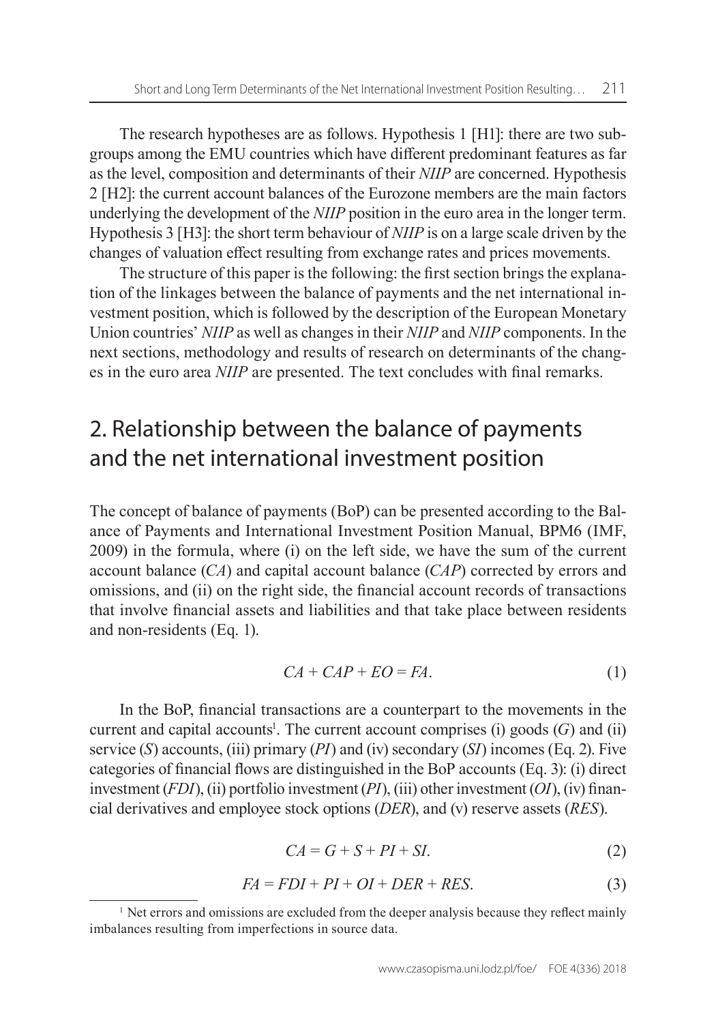The research hypotheses are as follows. Hypothesis 1 [H1]: there are two subgroups among the EMU countries which have different predominant features as far as the level, composition and determinants of their *NIIP* are concerned. Hypothesis 2 [H2]: the current account balances of the Eurozone members are the main factors underlying the development of the *NIIP* position in the euro area in the longer term. Hypothesis 3 [H3]: the short term behaviour of *NIIP* is on a large scale driven by the changes of valuation effect resulting from exchange rates and prices movements.

The structure of this paper is the following: the first section brings the explanation of the linkages between the balance of payments and the net international investment position, which is followed by the description of the European Monetary Union countries' *NIIP* as well as changes in their *NIIP* and *NIIP* components. In the next sections, methodology and results of research on determinants of the changes in the euro area *NIIP* are presented. The text concludes with final remarks.

## 2. Relationship between the balance of payments and the net international investment position

The concept of balance of payments (BoP) can be presented according to the Balance of Payments and International Investment Position Manual, BPM6 (IMF, 2009) in the formula, where (i) on the left side, we have the sum of the current account balance (*CA*) and capital account balance (*CAP*) corrected by errors and omissions, and (ii) on the right side, the financial account records of transactions that involve financial assets and liabilities and that take place between residents and non‑residents (Eq. 1).

$$
CA + CAP + EO = FA.
$$
 (1)

In the BoP, financial transactions are a counterpart to the movements in the current and capital accounts<sup>1</sup>. The current account comprises (i) goods  $(G)$  and (ii) service (*S*) accounts, (iii) primary (*PI*) and (iv) secondary (*SI*) incomes (Eq. 2). Five categories of financial flows are distinguished in the BoP accounts (Eq. 3): (i) direct investment (*FDI*), (ii) portfolio investment (*PI*), (iii) other investment (*OI*), (iv) financial derivatives and employee stock options (*DER*), and (v) reserve assets (*RES*).

$$
CA = G + S + PI + SI.
$$
 (2)

$$
FA = FDI + PI + OI + DER + RES.
$$
\n(3)

<sup>&</sup>lt;sup>1</sup> Net errors and omissions are excluded from the deeper analysis because they reflect mainly imbalances resulting from imperfections in source data.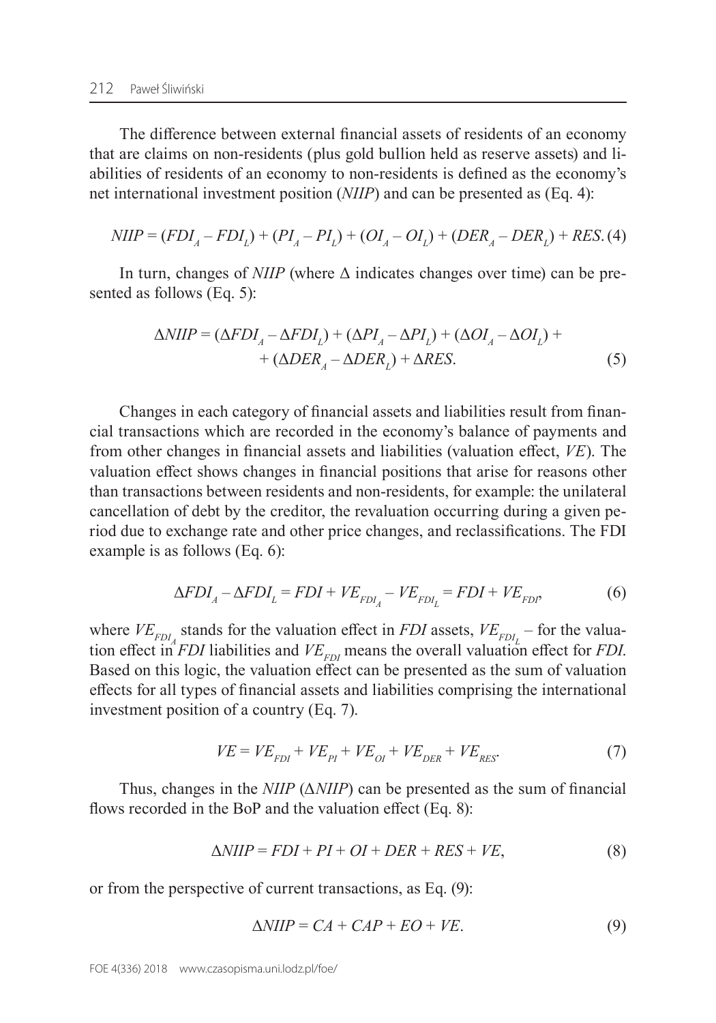The difference between external financial assets of residents of an economy that are claims on non-residents (plus gold bullion held as reserve assets) and liabilities of residents of an economy to non‑residents is defined as the economy's net international investment position (*NIIP*) and can be presented as (Eq. 4):

$$
NIIP = (FDI_A - FDI_L) + (PI_A - PI_L) + (OI_A - OI_L) + (DER_A - DER_L) + RES.
$$
 (4)

In turn, changes of *NIIP* (where Δ indicates changes over time) can be presented as follows (Eq. 5):

$$
\Delta NIIP = (\Delta FDI_A - \Delta FDI_L) + (\Delta PI_A - \Delta PI_L) + (\Delta OI_A - \Delta OI_L) + + (\Delta DER_A - \Delta DER_L) + \Delta RES.
$$
 (5)

Changes in each category of financial assets and liabilities result from financial transactions which are recorded in the economy's balance of payments and from other changes in financial assets and liabilities (valuation effect, *VE*). The valuation effect shows changes in financial positions that arise for reasons other than transactions between residents and non‑residents, for example: the unilateral cancellation of debt by the creditor, the revaluation occurring during a given period due to exchange rate and other price changes, and reclassifications. The FDI example is as follows (Eq. 6):

$$
\Delta FDI_A - \Delta FDI_L = FDI + VE_{FDI_A} - VE_{FDI_L} = FDI + VE_{FDP},\tag{6}
$$

where  $VE_{FDI}$  stands for the valuation effect in *FDI* assets,  $VE_{FDI}$  – for the valuation effect in *FDI* liabilities and  $VE_{FDI}$  means the overall valuation effect for *FDI*. Based on this logic, the valuation effect can be presented as the sum of valuation effects for all types of financial assets and liabilities comprising the international investment position of a country (Eq. 7).

$$
VE = VE_{FDI} + VE_{PI} + VE_{OI} + VE_{DER} + VE_{RES}.
$$
 (7)

Thus, changes in the *NIIP* (Δ*NIIP*) can be presented as the sum of financial flows recorded in the BoP and the valuation effect (Eq. 8):

$$
\Delta NIIP = FDI + PI + OI + DER + RES + VE,\tag{8}
$$

or from the perspective of current transactions, as Eq. (9):

$$
\Delta NIIP = CA + CAP + EO + VE. \tag{9}
$$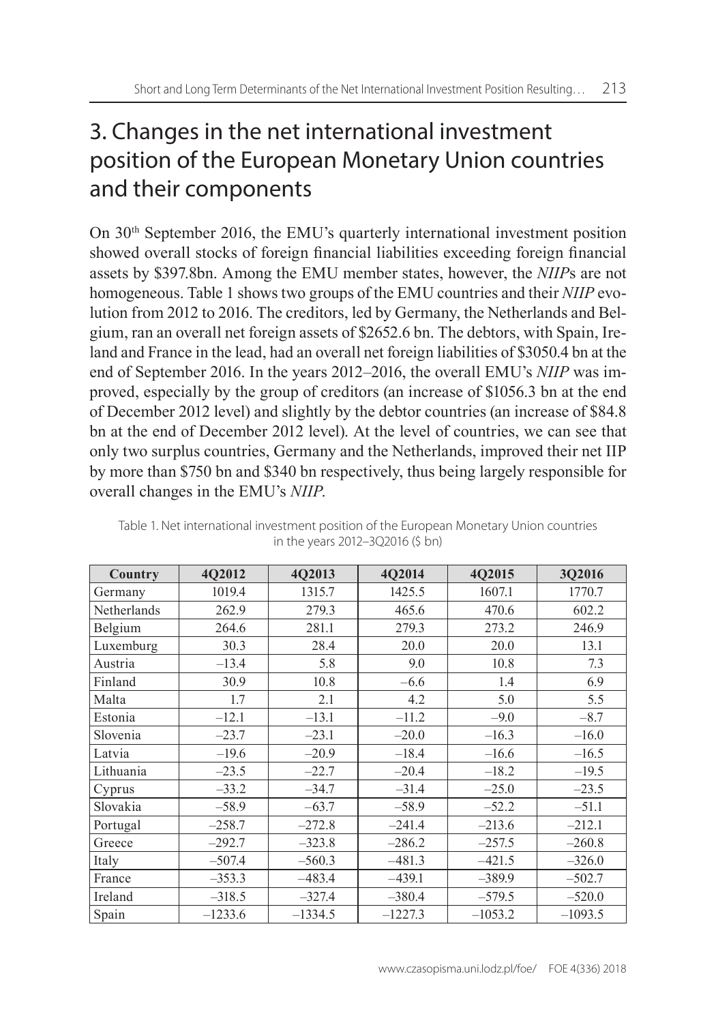## 3. Changes in the net international investment position of the European Monetary Union countries and their components

On 30th September 2016, the EMU's quarterly international investment position showed overall stocks of foreign financial liabilities exceeding foreign financial assets by \$397.8bn. Among the EMU member states, however, the *NIIP*s are not homogeneous. Table 1 shows two groups of the EMU countries and their *NIIP* evolution from 2012 to 2016. The creditors, led by Germany, the Netherlands and Belgium, ran an overall net foreign assets of \$2652.6 bn. The debtors, with Spain, Ireland and France in the lead, had an overall net foreign liabilities of \$3050.4 bn at the end of September 2016. In the years 2012–2016, the overall EMU's *NIIP* was improved, especially by the group of creditors (an increase of \$1056.3 bn at the end of December 2012 level) and slightly by the debtor countries (an increase of \$84.8 bn at the end of December 2012 level). At the level of countries, we can see that only two surplus countries, Germany and the Netherlands, improved their net IIP by more than \$750 bn and \$340 bn respectively, thus being largely responsible for overall changes in the EMU's *NIIP*.

| Country     | 4Q2012    | 4Q2013    | 4Q2014    | 4Q2015    | 3Q2016    |
|-------------|-----------|-----------|-----------|-----------|-----------|
| Germany     | 1019.4    | 1315.7    | 1425.5    | 1607.1    | 1770.7    |
| Netherlands | 262.9     | 279.3     | 465.6     | 470.6     | 602.2     |
| Belgium     | 264.6     | 281.1     | 279.3     | 273.2     | 246.9     |
| Luxemburg   | 30.3      | 28.4      | 20.0      | 20.0      | 13.1      |
| Austria     | $-13.4$   | 5.8       | 9.0       | 10.8      | 7.3       |
| Finland     | 30.9      | 10.8      | $-6.6$    | 1.4       | 6.9       |
| Malta       | 1.7       | 2.1       | 4.2       | 5.0       | 5.5       |
| Estonia     | $-12.1$   | $-13.1$   | $-11.2$   | $-9.0$    | $-8.7$    |
| Slovenia    | $-23.7$   | $-23.1$   | $-20.0$   | $-16.3$   | $-16.0$   |
| Latvia      | $-19.6$   | $-20.9$   | $-18.4$   | $-16.6$   | $-16.5$   |
| Lithuania   | $-23.5$   | $-22.7$   | $-20.4$   | $-18.2$   | $-19.5$   |
| Cyprus      | $-33.2$   | $-34.7$   | $-31.4$   | $-25.0$   | $-23.5$   |
| Slovakia    | $-58.9$   | $-63.7$   | $-58.9$   | $-52.2$   | $-51.1$   |
| Portugal    | $-258.7$  | $-272.8$  | $-241.4$  | $-213.6$  | $-212.1$  |
| Greece      | $-292.7$  | $-323.8$  | $-286.2$  | $-257.5$  | $-260.8$  |
| Italy       | $-507.4$  | $-560.3$  | $-481.3$  | $-421.5$  | $-326.0$  |
| France      | $-353.3$  | $-483.4$  | $-439.1$  | $-389.9$  | $-502.7$  |
| Ireland     | $-318.5$  | $-327.4$  | $-380.4$  | $-579.5$  | $-520.0$  |
| Spain       | $-1233.6$ | $-1334.5$ | $-1227.3$ | $-1053.2$ | $-1093.5$ |

| Table 1. Net international investment position of the European Monetary Union countries |  |
|-----------------------------------------------------------------------------------------|--|
| in the years 2012–3Q2016 (\$ bn)                                                        |  |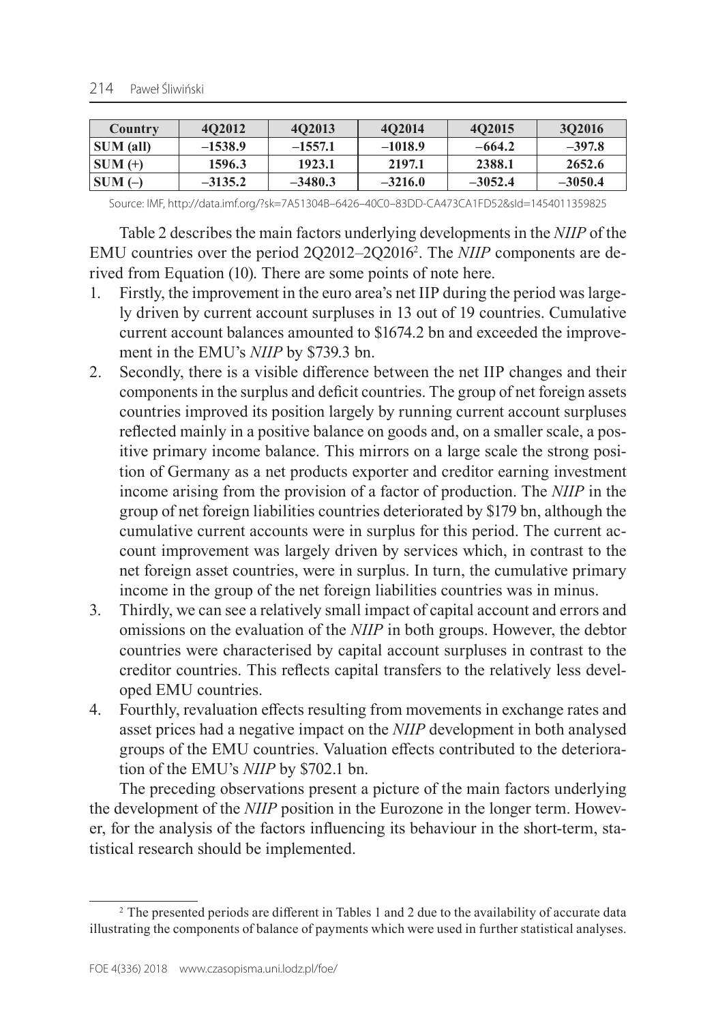| Country   | 4O2012    | 402013    | 402014    | 402015    | 302016    |
|-----------|-----------|-----------|-----------|-----------|-----------|
| SUM (all) | $-1538.9$ | $-1557.1$ | $-1018.9$ | $-664.2$  | $-397.8$  |
| $SUM(+)$  | 1596.3    | 1923.1    | 2197.1    | 2388.1    | 2652.6    |
| $SUM(-)$  | $-3135.2$ | $-3480.3$ | $-3216.0$ | $-3052.4$ | $-3050.4$ |

Source: IMF, [http://data.imf.org/?sk=7A51304B–6426–40C0–83DD‑CA473CA1FD52&sId=1454011359825](http://data.imf.org/?sk=7A51304B-6426-40C0-83DD-CA473CA1FD52&sId=1454011359825)

Table 2 describes the main factors underlying developments in the *NIIP* of the EMU countries over the period 2Q2012–2Q20162 . The *NIIP* components are derived from Equation (10). There are some points of note here.

- 1. Firstly, the improvement in the euro area's net IIP during the period was largely driven by current account surpluses in 13 out of 19 countries. Cumulative current account balances amounted to \$1674.2 bn and exceeded the improvement in the EMU's *NIIP* by \$739.3 bn.
- 2. Secondly, there is a visible difference between the net IIP changes and their components in the surplus and deficit countries. The group of net foreign assets countries improved its position largely by running current account surpluses reflected mainly in a positive balance on goods and, on a smaller scale, a positive primary income balance. This mirrors on a large scale the strong position of Germany as a net products exporter and creditor earning investment income arising from the provision of a factor of production. The *NIIP* in the group of net foreign liabilities countries deteriorated by \$179 bn, although the cumulative current accounts were in surplus for this period. The current account improvement was largely driven by services which, in contrast to the net foreign asset countries, were in surplus. In turn, the cumulative primary income in the group of the net foreign liabilities countries was in minus.
- 3. Thirdly, we can see a relatively small impact of capital account and errors and omissions on the evaluation of the *NIIP* in both groups. However, the debtor countries were characterised by capital account surpluses in contrast to the creditor countries. This reflects capital transfers to the relatively less developed EMU countries.
- 4. Fourthly, revaluation effects resulting from movements in exchange rates and asset prices had a negative impact on the *NIIP* development in both analysed groups of the EMU countries. Valuation effects contributed to the deterioration of the EMU's *NIIP* by \$702.1 bn.

The preceding observations present a picture of the main factors underlying the development of the *NIIP* position in the Eurozone in the longer term. However, for the analysis of the factors influencing its behaviour in the short-term, statistical research should be implemented.

<sup>2</sup> The presented periods are different in Tables 1 and 2 due to the availability of accurate data illustrating the components of balance of payments which were used in further statistical analyses.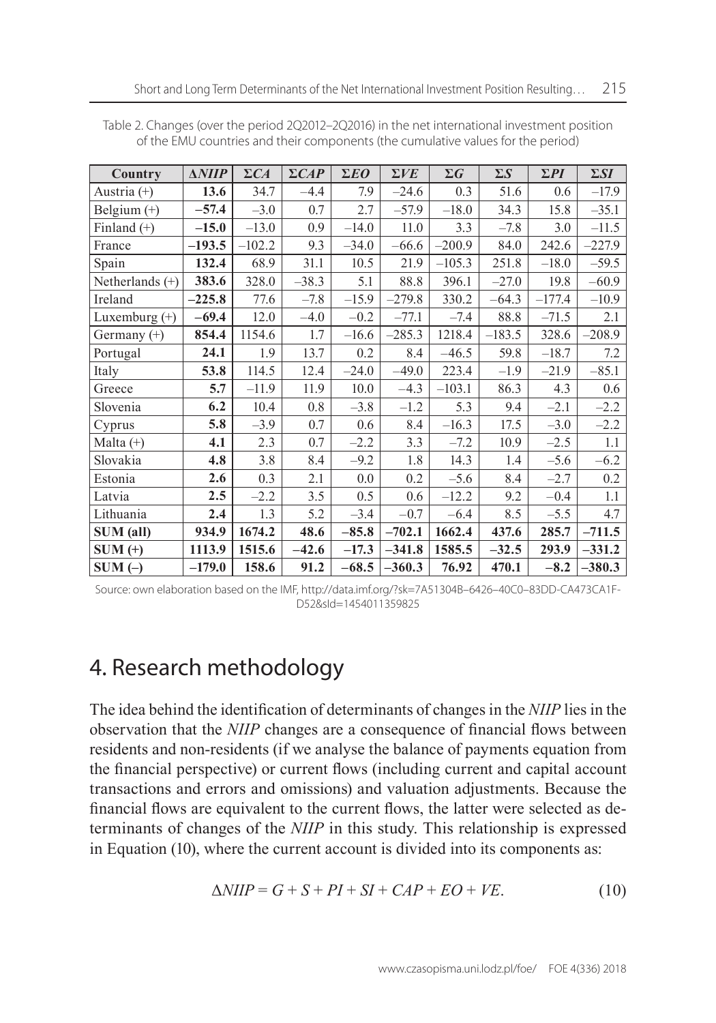| Country          | $\triangle NIIP$ | $\Sigma CA$ | $\Sigma CAP$ | $\Sigma E$ O | $\Sigma VE$ | $\Sigma G$ | $\Sigma S$ | $\Sigma PI$ | $\Sigma SI$ |
|------------------|------------------|-------------|--------------|--------------|-------------|------------|------------|-------------|-------------|
| Austria (+)      | 13.6             | 34.7        | $-4.4$       | 7.9          | $-24.6$     | 0.3        | 51.6       | 0.6         | $-17.9$     |
| Belgium (+)      | $-57.4$          | $-3.0$      | 0.7          | 2.7          | $-57.9$     | $-18.0$    | 34.3       | 15.8        | $-35.1$     |
| Finland $(+)$    | $-15.0$          | $-13.0$     | 0.9          | $-14.0$      | 11.0        | 3.3        | $-7.8$     | 3.0         | $-11.5$     |
| France           | $-193.5$         | $-102.2$    | 9.3          | $-34.0$      | $-66.6$     | $-200.9$   | 84.0       | 242.6       | $-227.9$    |
| Spain            | 132.4            | 68.9        | 31.1         | 10.5         | 21.9        | $-105.3$   | 251.8      | $-18.0$     | $-59.5$     |
| Netherlands (+)  | 383.6            | 328.0       | $-38.3$      | 5.1          | 88.8        | 396.1      | $-27.0$    | 19.8        | $-60.9$     |
| Ireland          | $-225.8$         | 77.6        | $-7.8$       | $-15.9$      | $-279.8$    | 330.2      | $-64.3$    | $-177.4$    | $-10.9$     |
| Luxemburg (+)    | $-69.4$          | 12.0        | $-4.0$       | $-0.2$       | $-77.1$     | $-7.4$     | 88.8       | $-71.5$     | 2.1         |
| Germany (+)      | 854.4            | 1154.6      | 1.7          | $-16.6$      | $-285.3$    | 1218.4     | $-183.5$   | 328.6       | $-208.9$    |
| Portugal         | 24.1             | 1.9         | 13.7         | 0.2          | 8.4         | $-46.5$    | 59.8       | $-18.7$     | 7.2         |
| Italy            | 53.8             | 114.5       | 12.4         | $-24.0$      | $-49.0$     | 223.4      | $-1.9$     | $-21.9$     | $-85.1$     |
| Greece           | 5.7              | $-11.9$     | 11.9         | 10.0         | $-4.3$      | $-103.1$   | 86.3       | 4.3         | 0.6         |
| Slovenia         | 6.2              | 10.4        | 0.8          | $-3.8$       | $-1.2$      | 5.3        | 9.4        | $-2.1$      | $-2.2$      |
| Cyprus           | 5.8              | $-3.9$      | 0.7          | 0.6          | 8.4         | $-16.3$    | 17.5       | $-3.0$      | $-2.2$      |
| Malta $(+)$      | 4.1              | 2.3         | 0.7          | $-2.2$       | 3.3         | $-7.2$     | 10.9       | $-2.5$      | 1.1         |
| Slovakia         | 4.8              | 3.8         | 8.4          | $-9.2$       | 1.8         | 14.3       | 1.4        | $-5.6$      | $-6.2$      |
| Estonia          | 2.6              | 0.3         | 2.1          | 0.0          | 0.2         | $-5.6$     | 8.4        | $-2.7$      | $0.2\,$     |
| Latvia           | 2.5              | $-2.2$      | 3.5          | 0.5          | 0.6         | $-12.2$    | 9.2        | $-0.4$      | 1.1         |
| Lithuania        | 2.4              | 1.3         | 5.2          | $-3.4$       | $-0.7$      | $-6.4$     | 8.5        | $-5.5$      | 4.7         |
| <b>SUM</b> (all) | 934.9            | 1674.2      | 48.6         | $-85.8$      | $-702.1$    | 1662.4     | 437.6      | 285.7       | $-711.5$    |
| $SUM (+)$        | 1113.9           | 1515.6      | $-42.6$      | $-17.3$      | $-341.8$    | 1585.5     | $-32.5$    | 293.9       | $-331.2$    |
| $SUM(-)$         | $-179.0$         | 158.6       | 91.2         | $-68.5$      | $-360.3$    | 76.92      | 470.1      | $-8.2$      | $-380.3$    |

Table 2. Changes (over the period 2Q2012–2Q2016) in the net international investment position of the EMU countries and their components (the cumulative values for the period)

Source: own elaboration based on the IMF, [http://data.imf.org/?sk=7A51304B–6426–40C0–83DD‑CA473CA1F‑](http://data.imf.org/?sk=7A51304B-6426-40C0-83DD-CA473CA1FD52&sId=1454011359825) [D52&sId=1454011359825](http://data.imf.org/?sk=7A51304B-6426-40C0-83DD-CA473CA1FD52&sId=1454011359825)

### 4. Research methodology

The idea behind the identification of determinants of changes in the *NIIP* lies in the observation that the *NIIP* changes are a consequence of financial flows between residents and non-residents (if we analyse the balance of payments equation from the financial perspective) or current flows (including current and capital account transactions and errors and omissions) and valuation adjustments. Because the financial flows are equivalent to the current flows, the latter were selected as determinants of changes of the *NIIP* in this study. This relationship is expressed in Equation (10), where the current account is divided into its components as:

$$
\Delta NIIP = G + S + PI + SI + CAP + EO + VE. \tag{10}
$$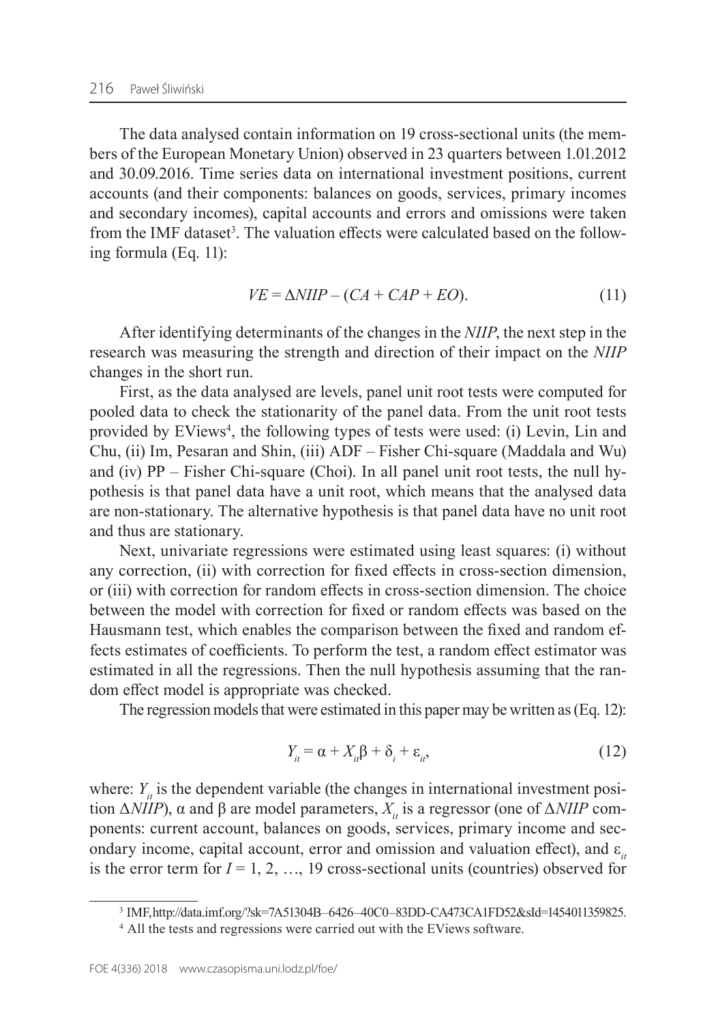The data analysed contain information on 19 cross-sectional units (the members of the European Monetary Union) observed in 23 quarters between 1.01.2012 and 30.09.2016. Time series data on international investment positions, current accounts (and their components: balances on goods, services, primary incomes and secondary incomes), capital accounts and errors and omissions were taken from the IMF dataset<sup>3</sup>. The valuation effects were calculated based on the following formula (Eq. 11):

$$
VE = \Delta NIIP - (CA + CAP + EO). \tag{11}
$$

After identifying determinants of the changes in the *NIIP*, the next step in the research was measuring the strength and direction of their impact on the *NIIP* changes in the short run.

First, as the data analysed are levels, panel unit root tests were computed for pooled data to check the stationarity of the panel data. From the unit root tests provided by EViews<sup>4</sup>, the following types of tests were used: (i) Levin, Lin and Chu, (ii) Im, Pesaran and Shin, (iii) ADF – Fisher Chi‑square (Maddala and Wu) and (iv)  $PP$  – Fisher Chi-square (Choi). In all panel unit root tests, the null hypothesis is that panel data have a unit root, which means that the analysed data are non‑stationary. The alternative hypothesis is that panel data have no unit root and thus are stationary.

Next, univariate regressions were estimated using least squares: (i) without any correction, (ii) with correction for fixed effects in cross-section dimension, or (iii) with correction for random effects in cross‑section dimension. The choice between the model with correction for fixed or random effects was based on the Hausmann test, which enables the comparison between the fixed and random effects estimates of coefficients. To perform the test, a random effect estimator was estimated in all the regressions. Then the null hypothesis assuming that the random effect model is appropriate was checked.

The regression models that were estimated in this paper may be written as(Eq. 12):

$$
Y_{ii} = \alpha + X_{ii}\beta + \delta_i + \varepsilon_{ii}, \tag{12}
$$

where:  $Y_{i}$  is the dependent variable (the changes in international investment position  $ΔNIIP$ ), α and β are model parameters,  $X<sub>ii</sub>$  is a regressor (one of  $ΔNIIP$  components: current account, balances on goods, services, primary income and secondary income, capital account, error and omission and valuation effect), and  $\varepsilon$ <sub>*it*</sub> is the error term for  $I = 1, 2, ..., 19$  cross-sectional units (countries) observed for

<sup>3</sup> IMF, [http://data.imf.org/?sk=7A51304B–6426–40C0–83DD‑CA473CA1FD52&sId=1454011359825](http://data.imf.org/?sk=7A51304B-6426-40C0-83DD-CA473CA1FD52&sId=1454011359825).

<sup>&</sup>lt;sup>4</sup> All the tests and regressions were carried out with the EViews software.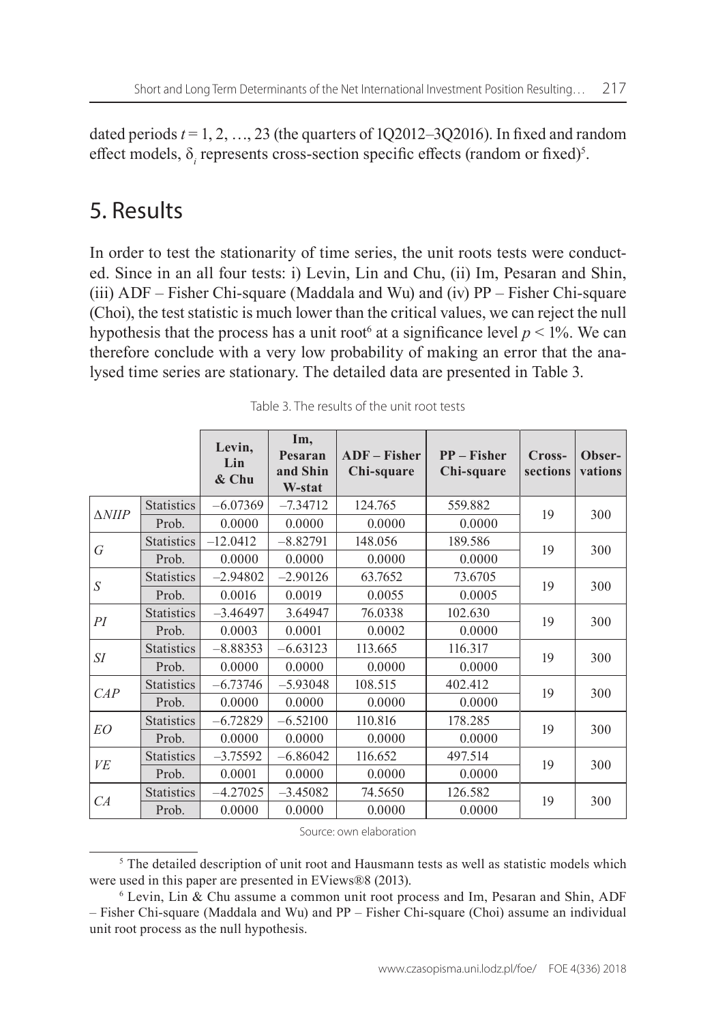dated periods  $t = 1, 2, ..., 23$  (the quarters of 1Q2012–3Q2016). In fixed and random effect models, δ<sub>*i*</sub> represents cross-section specific effects (random or fixed)<sup>5</sup>.

### 5. Results

In order to test the stationarity of time series, the unit roots tests were conducted. Since in an all four tests: i) Levin, Lin and Chu, (ii) Im, Pesaran and Shin, (iii)  $ADF - Fisher Chi-square$  (Maddala and Wu) and (iv)  $PP - Fisher Chi-square$ (Choi), the test statistic is much lower than the critical values, we can reject the null hypothesis that the process has a unit root<sup>6</sup> at a significance level  $p < 1\%$ . We can therefore conclude with a very low probability of making an error that the analysed time series are stationary. The detailed data are presented in Table 3.

|                   |                   | Levin,<br>Lin<br>$&$ Chu | Im,<br>Pesaran<br>and Shin<br>W-stat | $ADF - Fisher$<br>Chi-square | $PP - Fisher$<br>Chi-square | Cross-<br>sections | Obser-<br>vations |
|-------------------|-------------------|--------------------------|--------------------------------------|------------------------------|-----------------------------|--------------------|-------------------|
| $\triangle NIIP$  | <b>Statistics</b> | $-6.07369$               | $-7.34712$                           | 124.765                      | 559.882                     | 19                 |                   |
|                   | Prob.             | 0.0000                   | 0.0000                               | 0.0000                       | 0.0000                      |                    | 300               |
| G                 | <b>Statistics</b> | $-12.0412$               | $-8.82791$                           | 148.056                      | 189.586                     | 19                 | 300               |
|                   | Prob.             | 0.0000                   | 0.0000                               | 0.0000                       | 0.0000                      |                    |                   |
| <b>Statistics</b> |                   | $-2.94802$               | $-2.90126$                           | 63.7652                      | 73.6705                     | 19                 |                   |
| S                 | Prob.             | 0.0016                   | 0.0019                               | 0.0055                       | 0.0005                      |                    | 300               |
| PI                | <b>Statistics</b> | $-3.46497$               | 3.64947                              | 76.0338                      | 102.630                     |                    | 300               |
|                   | Prob.             | 0.0003                   | 0.0001                               | 0.0002                       | 0.0000                      | 19                 |                   |
| $\mathcal{S}I$    | <b>Statistics</b> | $-8.88353$               | $-6.63123$                           | 113.665                      | 116.317                     | 19                 | 300               |
|                   | Prob.             | 0.0000                   | 0.0000                               | 0.0000                       | 0.0000                      |                    |                   |
|                   | <b>Statistics</b> | $-6.73746$               | $-5.93048$                           | 108.515                      | 402.412                     | 19                 | 300               |
| CAP               | Prob.             | 0.0000                   | 0.0000                               | 0.0000                       | 0.0000                      |                    |                   |
| EO                | <b>Statistics</b> | $-6.72829$               | $-6.52100$                           | 110.816                      | 178.285                     | 19                 | 300               |
|                   | Prob.             | 0.0000                   | 0.0000                               | 0.0000                       | 0.0000                      |                    |                   |
| VE                | <b>Statistics</b> | $-3.75592$               | $-6.86042$                           | 116.652                      | 497.514                     | 19                 | 300               |
|                   | Prob.             | 0.0001                   | 0.0000                               | 0.0000                       | 0.0000                      |                    |                   |
|                   | <b>Statistics</b> | $-4.27025$               | $-3.45082$                           | 74.5650                      | 126.582                     | 19                 | 300               |
| CA                | Prob.             | 0.0000                   | 0.0000                               | 0.0000                       | 0.0000                      |                    |                   |

Table 3. The results of the unit root tests

Source: own elaboration

<sup>5</sup> The detailed description of unit root and Hausmann tests as well as statistic models which were used in this paper are presented in EViews®8 (2013).

<sup>6</sup> Levin, Lin & Chu assume a common unit root process and Im, Pesaran and Shin, ADF – Fisher Chi‑square (Maddala and Wu) and PP – Fisher Chi‑square (Choi) assume an individual unit root process as the null hypothesis.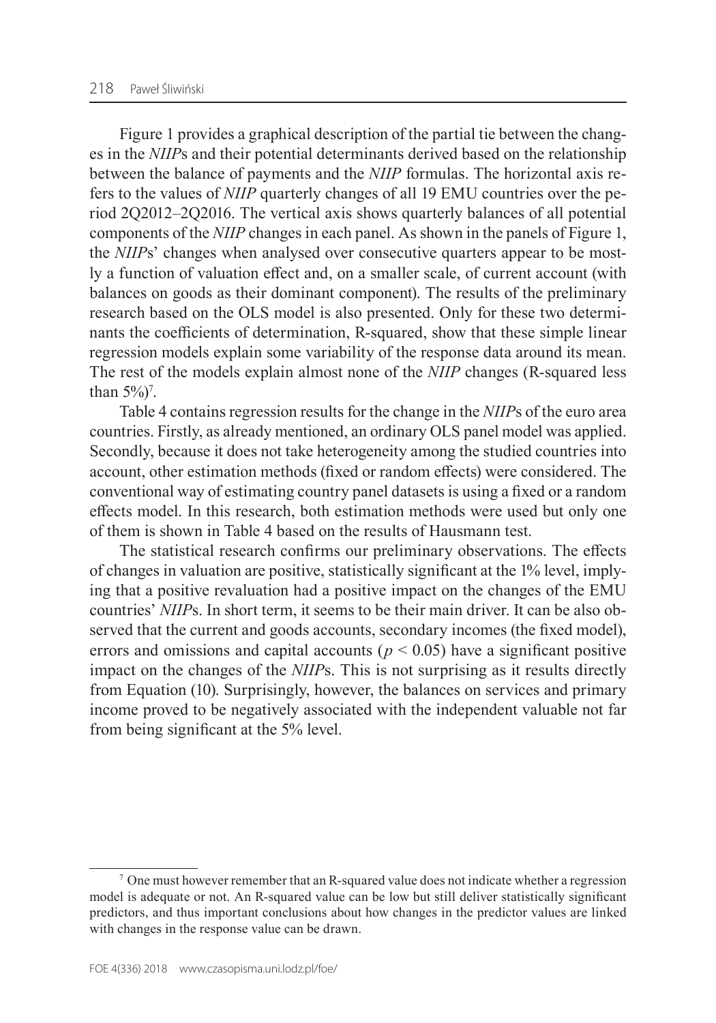Figure 1 provides a graphical description of the partial tie between the changes in the *NIIP*s and their potential determinants derived based on the relationship between the balance of payments and the *NIIP* formulas. The horizontal axis refers to the values of *NIIP* quarterly changes of all 19 EMU countries over the period 2Q2012–2Q2016. The vertical axis shows quarterly balances of all potential components of the *NIIP* changes in each panel. As shown in the panels of Figure 1, the *NIIP*s' changes when analysed over consecutive quarters appear to be mostly a function of valuation effect and, on a smaller scale, of current account (with balances on goods as their dominant component). The results of the preliminary research based on the OLS model is also presented. Only for these two determinants the coefficients of determination, R‑squared, show that these simple linear regression models explain some variability of the response data around its mean. The rest of the models explain almost none of the *NIIP* changes (R‑squared less than  $5\%)^7$ .

Table 4 contains regression results for the change in the *NIIP*s of the euro area countries. Firstly, as already mentioned, an ordinary OLS panel model was applied. Secondly, because it does not take heterogeneity among the studied countries into account, other estimation methods (fixed or random effects) were considered. The conventional way of estimating country panel datasets is using a fixed or a random effects model. In this research, both estimation methods were used but only one of them is shown in Table 4 based on the results of Hausmann test.

The statistical research confirms our preliminary observations. The effects of changes in valuation are positive, statistically significant at the 1% level, implying that a positive revaluation had a positive impact on the changes of the EMU countries' *NIIP*s. In short term, it seems to be their main driver. It can be also observed that the current and goods accounts, secondary incomes (the fixed model), errors and omissions and capital accounts ( $p < 0.05$ ) have a significant positive impact on the changes of the *NIIP*s. This is not surprising as it results directly from Equation (10). Surprisingly, however, the balances on services and primary income proved to be negatively associated with the independent valuable not far from being significant at the 5% level.

 $\frac{7}{1}$  One must however remember that an R-squared value does not indicate whether a regression model is adequate or not. An R‑squared value can be low but still deliver statistically significant predictors, and thus important conclusions about how changes in the predictor values are linked with changes in the response value can be drawn.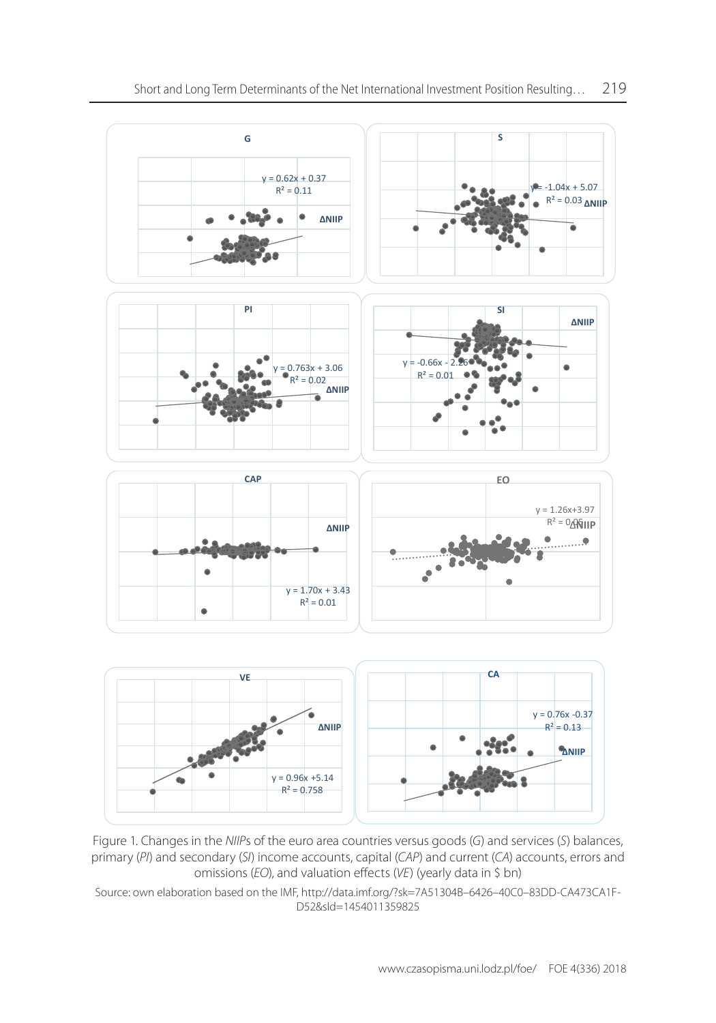

Figure 1. Changes in the NIIPs of the euro area countries versus goods (G) and services (S) balances, primary (PI) and secondary (SI) income accounts, capital (CAP) and current (CA) accounts, errors and and valuation effects (*VE*) (yearly data in \$ bn) omissions (*EO*), and valuation effects (*VE*) (yearly data in \$ bn)

Source: own elaboration based on the IMF, http://data.imf.org/?sk=7A51304B-6426-40C0-83DD-Source: own elaboration based on the IMF, [http://data.imf.org/?sk=7A51304B–6426–40C0–83DD‑CA473CA1F‑](http://data.imf.org/?sk=7A51304B-6426-40C0-83DD-CA473CA1FD52&sId=1454011359825) [D52&sId=1454011359825](http://data.imf.org/?sk=7A51304B-6426-40C0-83DD-CA473CA1FD52&sId=1454011359825)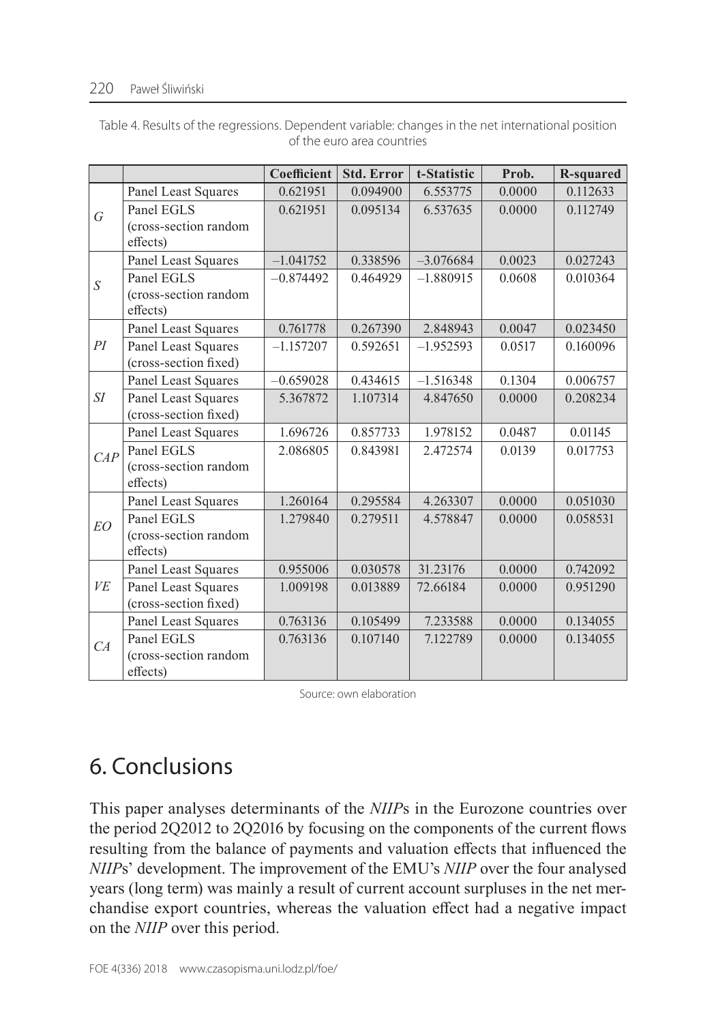#### 220 Paweł Śliwiński

|                |                                              | Coefficient | <b>Std. Error</b> | t-Statistic | Prob.  | <b>R-squared</b> |
|----------------|----------------------------------------------|-------------|-------------------|-------------|--------|------------------|
|                | Panel Least Squares                          | 0.621951    | 0.094900          | 6.553775    | 0.0000 | 0.112633         |
| $\sqrt{G}$     | Panel EGLS                                   | 0.621951    | 0.095134          | 6.537635    | 0.0000 | 0.112749         |
|                | (cross-section random                        |             |                   |             |        |                  |
|                | effects)                                     |             |                   |             |        |                  |
|                | Panel Least Squares                          | $-1.041752$ | 0.338596          | $-3.076684$ | 0.0023 | 0.027243         |
| $\overline{S}$ | Panel EGLS                                   | $-0.874492$ | 0.464929          | $-1.880915$ | 0.0608 | 0.010364         |
|                | (cross-section random<br>effects)            |             |                   |             |        |                  |
|                | Panel Least Squares                          | 0.761778    | 0.267390          | 2.848943    | 0.0047 | 0.023450         |
| PI             | Panel Least Squares<br>(cross-section fixed) | $-1.157207$ | 0.592651          | $-1.952593$ | 0.0517 | 0.160096         |
|                | Panel Least Squares                          | $-0.659028$ | 0.434615          | $-1.516348$ | 0.1304 | 0.006757         |
| SI             | Panel Least Squares                          | 5.367872    | 1.107314          | 4.847650    | 0.0000 | 0.208234         |
|                | (cross-section fixed)                        |             |                   |             |        |                  |
|                | Panel Least Squares                          | 1.696726    | 0.857733          | 1.978152    | 0.0487 | 0.01145          |
| CAP            | Panel EGLS                                   | 2.086805    | 0.843981          | 2.472574    | 0.0139 | 0.017753         |
|                | (cross-section random<br>effects)            |             |                   |             |        |                  |
|                | Panel Least Squares                          | 1.260164    | 0.295584          | 4.263307    | 0.0000 | 0.051030         |
| EO             | Panel EGLS                                   | 1.279840    | 0.279511          | 4.578847    | 0.0000 | 0.058531         |
|                | (cross-section random                        |             |                   |             |        |                  |
|                | effects)                                     |             |                   |             |        |                  |
|                | Panel Least Squares                          | 0.955006    | 0.030578          | 31.23176    | 0.0000 | 0.742092         |
| VE             | Panel Least Squares                          | 1.009198    | 0.013889          | 72.66184    | 0.0000 | 0.951290         |
|                | (cross-section fixed)                        |             |                   |             |        |                  |
|                | Panel Least Squares                          | 0.763136    | 0.105499          | 7.233588    | 0.0000 | 0.134055         |
| CA             | Panel EGLS                                   | 0.763136    | 0.107140          | 7.122789    | 0.0000 | 0.134055         |
|                | (cross-section random                        |             |                   |             |        |                  |
|                | effects)                                     |             |                   |             |        |                  |

Table 4. Results of the regressions. Dependent variable: changes in the net international position of the euro area countries

Source: own elaboration

## 6. Conclusions

This paper analyses determinants of the *NIIP*s in the Eurozone countries over the period 2Q2012 to 2Q2016 by focusing on the components of the current flows resulting from the balance of payments and valuation effects that influenced the *NIIP*s' development. The improvement of the EMU's *NIIP* over the four analysed years (long term) was mainly a result of current account surpluses in the net merchandise export countries, whereas the valuation effect had a negative impact on the *NIIP* over this period.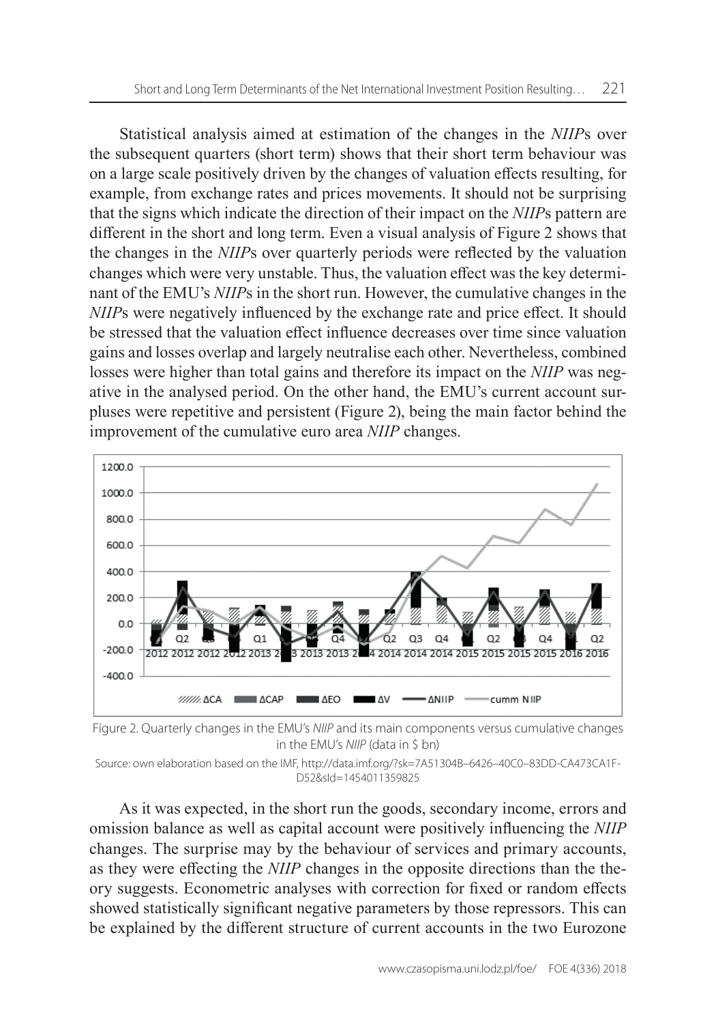Statistical analysis aimed at estimation of the changes in the *NIIP*s over the subsequent quarters (short term) shows that their short term behaviour was on a large scale positively driven by the changes of valuation effects resulting, for example, from exchange rates and prices movements. It should not be surprising that the signs which indicate the direction of their impact on the *NIIP*s pattern are different in the short and long term. Even a visual analysis of Figure 2 shows that the changes in the *NIIP*s over quarterly periods were reflected by the valuation changes which were very unstable. Thus, the valuation effect was the key determinant of the EMU's *NIIP*s in the short run. However, the cumulative changes in the *NIIP*s were negatively influenced by the exchange rate and price effect. It should be stressed that the valuation effect influence decreases over time since valuation gains and losses overlap and largely neutralise each other. Nevertheless, combined losses were higher than total gains and therefore its impact on the *NIIP* was negative in the analysed period. On the other hand, the EMU's current account surpluses were repetitive and persistent (Figure 2), being the main factor behind the improvement of the cumulative euro area *NIIP* changes.



Figure 2. Quarterly changes in the EMU's *NIIP* and its main components versus cumulative changes in the EMU's *NIIP* (data in \$ bn)

As it was expected, in the short run the goods, secondary income, errors and omission balance as well as capital account were positively influencing the *NIIP* changes. The surprise may by the behaviour of services and primary accounts, as they were effecting the *NIIP* changes in the opposite directions than the theory suggests. Econometric analyses with correction for fixed or random effects showed statistically significant negative parameters by those repressors. This can be explained by the different structure of current accounts in the two Eurozone

Source: own elaboration based on the IMF, http://data.imf.org/?sk=7A51304B-6426-40C0-83DD-CA473CA1F-[D52&sId=1454011359825](http://data.imf.org/?sk=7A51304B-6426-40C0-83DD-CA473CA1FD52&sId=1454011359825)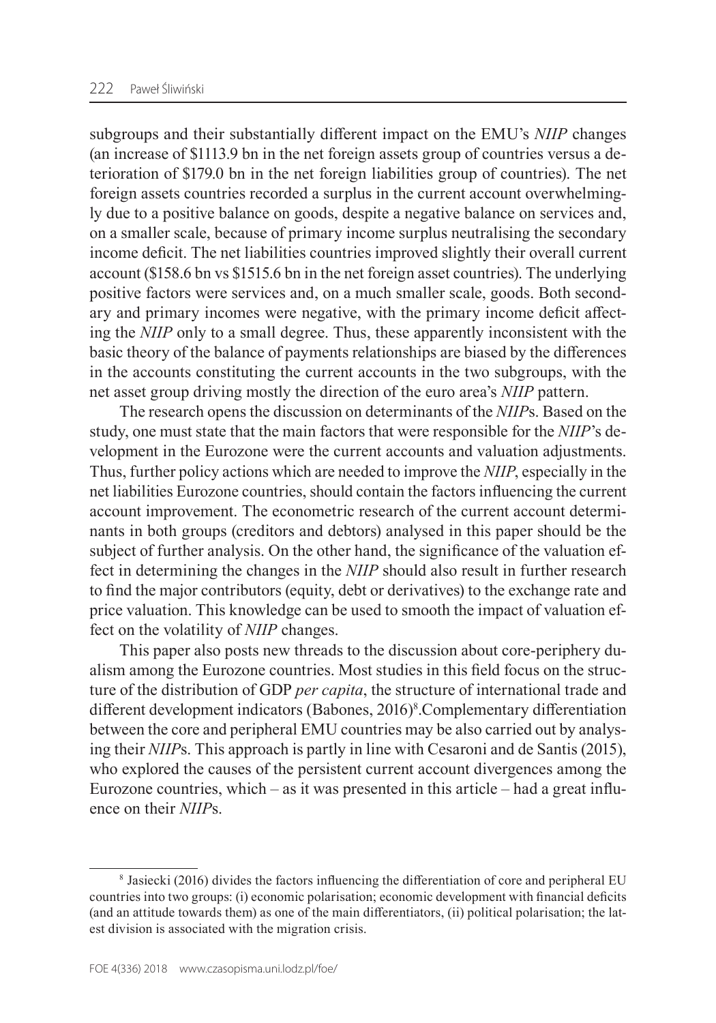subgroups and their substantially different impact on the EMU's *NIIP* changes (an increase of \$1113.9 bn in the net foreign assets group of countries versus a deterioration of \$179.0 bn in the net foreign liabilities group of countries). The net foreign assets countries recorded a surplus in the current account overwhelmingly due to a positive balance on goods, despite a negative balance on services and, on a smaller scale, because of primary income surplus neutralising the secondary income deficit. The net liabilities countries improved slightly their overall current account (\$158.6 bn vs \$1515.6 bn in the net foreign asset countries). The underlying positive factors were services and, on a much smaller scale, goods. Both secondary and primary incomes were negative, with the primary income deficit affecting the *NIIP* only to a small degree. Thus, these apparently inconsistent with the basic theory of the balance of payments relationships are biased by the differences in the accounts constituting the current accounts in the two subgroups, with the net asset group driving mostly the direction of the euro area's *NIIP* pattern.

The research opens the discussion on determinants of the *NIIP*s. Based on the study, one must state that the main factors that were responsible for the *NIIP*'s development in the Eurozone were the current accounts and valuation adjustments. Thus, further policy actions which are needed to improve the *NIIP*, especially in the net liabilities Eurozone countries, should contain the factors influencing the current account improvement. The econometric research of the current account determinants in both groups (creditors and debtors) analysed in this paper should be the subject of further analysis. On the other hand, the significance of the valuation effect in determining the changes in the *NIIP* should also result in further research to find the major contributors (equity, debt or derivatives) to the exchange rate and price valuation. This knowledge can be used to smooth the impact of valuation effect on the volatility of *NIIP* changes.

This paper also posts new threads to the discussion about core-periphery dualism among the Eurozone countries. Most studies in this field focus on the structure of the distribution of GDP *per capita*, the structure of international trade and different development indicators (Babones, 2016)<sup>8</sup>. Complementary differentiation between the core and peripheral EMU countries may be also carried out by analysing their *NIIP*s. This approach is partly in line with Cesaroni and de Santis (2015), who explored the causes of the persistent current account divergences among the Eurozone countries, which – as it was presented in this article – had a great influence on their *NIIP*s.

<sup>8</sup> Jasiecki (2016) divides the factors influencing the differentiation of core and peripheral EU countries into two groups: (i) economic polarisation; economic development with financial deficits (and an attitude towards them) as one of the main differentiators, (ii) political polarisation; the latest division is associated with the migration crisis.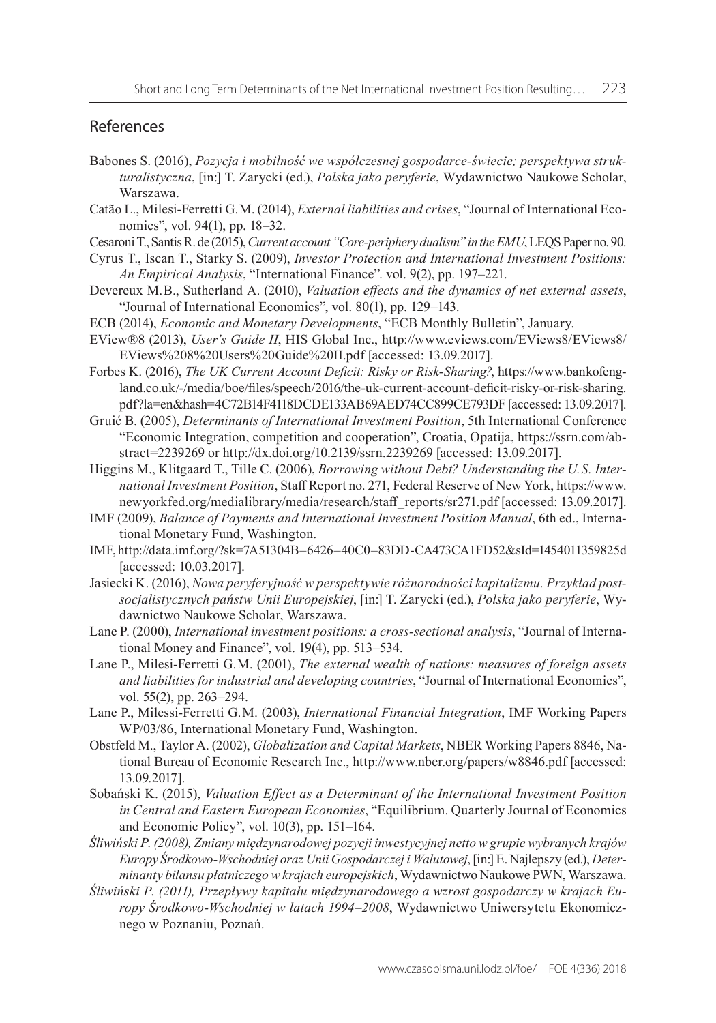#### References

- Babones S. (2016), *Pozycja i mobilność we współczesnej gospodarce‑świecie; perspektywa struk‑ turalistyczna*, [in:] T. Zarycki (ed.), *Polska jako peryferie*, Wydawnictwo Naukowe Scholar, Warszawa.
- Catão L., Milesi‑Ferretti G. M. (2014), *External liabilities and crises*, "Journal of International Economics", vol. 94(1), pp. 18–32.
- CesaroniT., Santis R. de (2015), *Current account "Core‑periphery dualism" in the EMU*, LEQS Paper no. 90.
- Cyrus T., Iscan T., Starky S. (2009), *Investor Protection and International Investment Positions: An Empirical Analysis*, "International Finance". vol. 9(2), pp. 197–221.
- Devereux M. B., Sutherland A. (2010), *Valuation effects and the dynamics of net external assets*, "Journal of International Economics", vol. 80(1), pp. 129–143.
- ECB (2014), *Economic and Monetary Developments*, "ECB Monthly Bulletin", January.
- EView®8 (2013), *User's Guide II*, HIS Global Inc., [http://www.eviews.com/EViews8/EViews8/](http://www.eviews.com/EViews8/EViews8/EViews%208%20Users%20Guide%20II.pdf) [EViews%208%20Users%20Guide%20II.pdf](http://www.eviews.com/EViews8/EViews8/EViews%208%20Users%20Guide%20II.pdf) [accessed: 13.09.2017].
- Forbes K. (2016), *The UK Current Account Deficit: Risky or Risk‑Sharing?*, [https://www.bankofeng](https://www.bankofengland.co.uk/-/media/boe/files/speech/2016/the-uk-current-account-deficit-risky-or-risk-sharing.pdf?la=en&hash=4C72B14F4118DCDE133AB69AED74CC899CE793DF)land.co.uk/-/media/boe/files/speech/2016/the-uk-current-account-deficit-risky-or-risk-sharing. [pdf?la=en&hash=4C72B14F4118DCDE133AB69AED74CC899CE793DF](https://www.bankofengland.co.uk/-/media/boe/files/speech/2016/the-uk-current-account-deficit-risky-or-risk-sharing.pdf?la=en&hash=4C72B14F4118DCDE133AB69AED74CC899CE793DF) [accessed: 13.09.2017].
- Gruić B. (2005), *Determinants of International Investment Position*, 5th International Conference "Economic Integration, competition and cooperation", Croatia, Opatija, [https://ssrn.com/ab](https://ssrn.com/abstract=2239269)[stract=2239269](https://ssrn.com/abstract=2239269) or <http://dx.doi.org/10.2139/ssrn.2239269>[accessed: 13.09.2017].
- Higgins M., Klitgaard T., Tille C. (2006), *Borrowing without Debt? Understanding the U. S. Inter‑ national Investment Position*, Staff Report no. 271, Federal Reserve of New York, [https://www.](https://www.newyorkfed.org/medialibrary/media/research/staff_reports/sr271.pdf) [newyorkfed.org/medialibrary/media/research/staff\\_reports/sr271.pdf](https://www.newyorkfed.org/medialibrary/media/research/staff_reports/sr271.pdf) [accessed: 13.09.2017].
- IMF (2009), *Balance of Payments and International Investment Position Manual*, 6th ed., International Monetary Fund, Washington.
- IMF, [http://data.imf.org/?sk=7A51304B–6426–40C0–83DD‑CA473CA1FD52&sId=1454011359825d](http://data.imf.org/?sk=7A51304B-6426-40C0-83DD-CA473CA1FD52&sId=1454011359825d)  [accessed: 10.03.2017].
- Jasiecki K. (2016), *Nowa peryferyjność w perspektywie różnorodności kapitalizmu. Przykład post‑ socjalistycznych państw Unii Europejskiej*, [in:] T. Zarycki (ed.), *Polska jako peryferie*, Wydawnictwo Naukowe Scholar, Warszawa.
- Lane P. (2000), *International investment positions: a cross‑sectional analysis*, "Journal of International Money and Finance", vol. 19(4), pp. 513–534.
- Lane P., Milesi‑Ferretti G. M. (2001), *The external wealth of nations: measures of foreign assets and liabilities for industrial and developing countries*, "Journal of International Economics", vol. 55(2), pp. 263–294.
- Lane P., Milessi‑Ferretti G. M. (2003), *International Financial Integration*, IMF Working Papers WP/03/86, International Monetary Fund, Washington.
- Obstfeld M., Taylor A. (2002), *Globalization and Capital Markets*, NBER Working Papers 8846, National Bureau of Economic Research Inc., <http://www.nber.org/papers/w8846.pdf> [accessed: 13.09.2017].
- Sobański K. (2015), *Valuation Effect as a Determinant of the International Investment Position in Central and Eastern European Economies*, "Equilibrium. Quarterly Journal of Economics and Economic Policy", vol. 10(3), pp. 151–164.
- *Śliwiński P. (2008), Zmiany międzynarodowej pozycji inwestycyjnej netto w grupie wybranych krajów Europy Środkowo‑Wschodniej oraz Unii Gospodarczej i Walutowej*, [in:] E. Najlepszy (ed.), *Deter‑ minanty bilansu płatniczego w krajach europejskich*, Wydawnictwo Naukowe PWN, Warszawa.
- *Śliwiński P. (2011), Przepływy kapitału międzynarodowego a wzrost gospodarczy w krajach Eu‑ ropy Środkowo‑Wschodniej w latach 1994–2008*, Wydawnictwo Uniwersytetu Ekonomicznego w Poznaniu, Poznań.